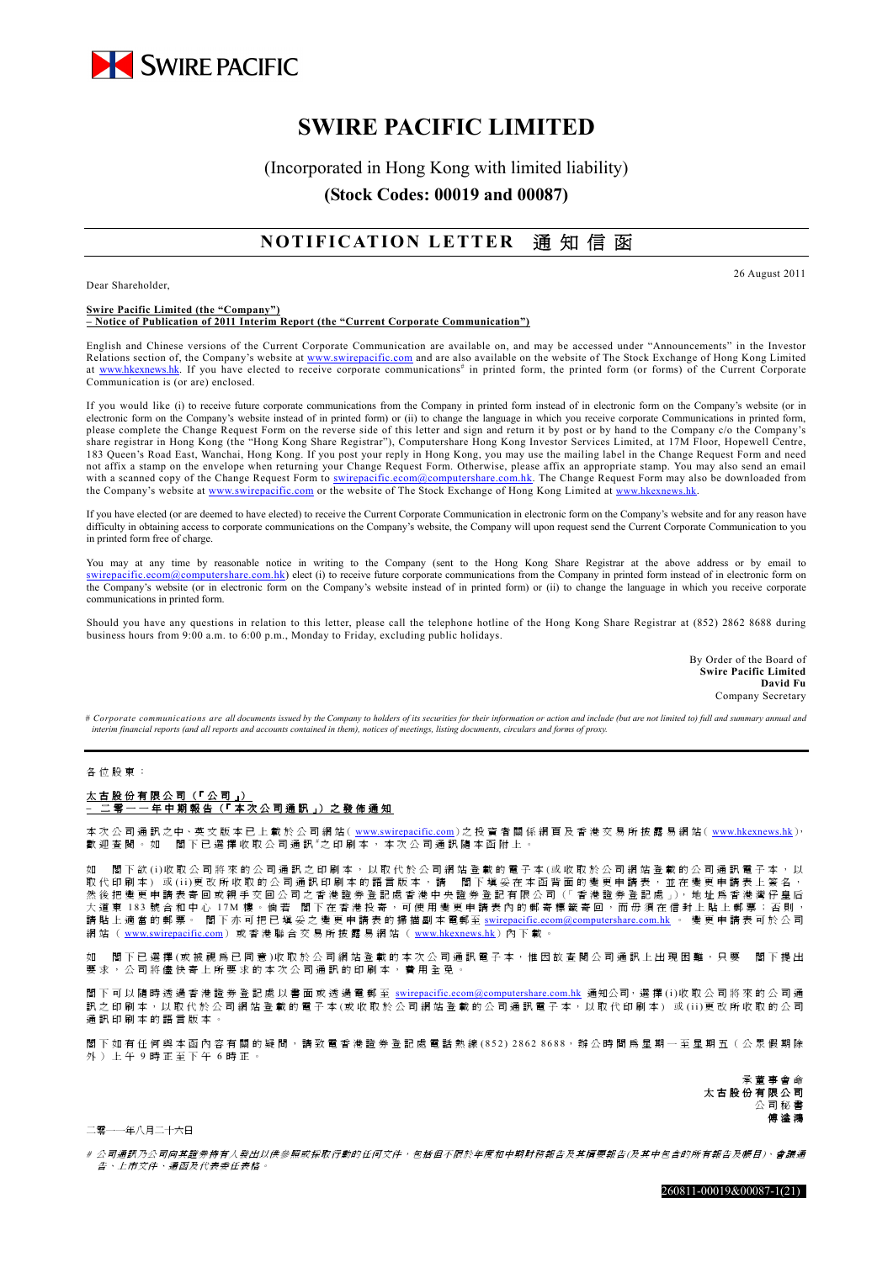

# **SWIRE PACIFIC LIMITED**

(Incorporated in Hong Kong with limited liability)

**(Stock Codes: 00019 and 00087)** 

## **NOTIFICATION LETTER** 通 知 信 函

Dear Shareholder,

26 August 2011

#### **Swire Pacific Limited (the "Company") – Notice of Publication of 2011 Interim Report (the "Current Corporate Communication")**

English and Chinese versions of the Current Corporate Communication are available on, and may be accessed under "Announcements" in the Investor Relations section of, the Company's website at www.swirepacific.com and are also available on the website of The Stock Exchange of Hong Kong Limited at www.hkexnews.hk. If you have elected to receive corporate communications<sup>#</sup> in printed form, the printed form (or forms) of the Current Corporate Communication is (or are) enclosed.

If you would like (i) to receive future corporate communications from the Company in printed form instead of in electronic form on the Company's website (or in electronic form on the Company's website instead of in printed form) or (ii) to change the language in which you receive corporate Communications in printed form, please complete the Change Request Form on the reverse side of this letter and sign and return it by post or by hand to the Company c/o the Company's share registrar in Hong Kong (the "Hong Kong Share Registrar"), Computershare Hong Kong Investor Services Limited, at 17M Floor, Hopewell Centre, 183 Queen's Road East, Wanchai, Hong Kong. If you post your reply in Hong Kong, you may use the mailing label in the Change Request Form and need not affix a stamp on the envelope when returning your Change Request Form. Otherwise, please affix an appropriate stamp. You may also send an email with a scanned copy of the Change Request Form to swirepacific.ecom@computershare.com.hk. The Change Request Form may also be downloaded from the Company's website at www.swirepacific.com or the website of The Stock Exchange of Hong Kong Limited at www.hkexnews.hk

If you have elected (or are deemed to have elected) to receive the Current Corporate Communication in electronic form on the Company's website and for any reason have difficulty in obtaining access to corporate communications on the Company's website, the Company will upon request send the Current Corporate Communication to you in printed form free of charge.

You may at any time by reasonable notice in writing to the Company (sent to the Hong Kong Share Registrar at the above address or by email to swirepacific.ecom@computershare.com.hk) elect (i) to receive future corporate communications from the Company in printed form instead of in electronic form on the Company's website (or in electronic form on the Company's website instead of in printed form) or (ii) to change the language in which you receive corporate communications in printed form.

Should you have any questions in relation to this letter, please call the telephone hotline of the Hong Kong Share Registrar at (852) 2862 8688 during business hours from 9:00 a.m. to 6:00 p.m., Monday to Friday, excluding public holidays.

> By Order of the Board of **Swire Pacific Limited David Fu** Company Secretary

*# Corporate communications are all documents issued by the Company to holders of its securities for their information or action and include (but are not limited to) full and summary annual and interim financial reports (and all reports and accounts contained in them), notices of meetings, listing documents, circulars and forms of proxy.* 

#### 各位股東:

### 太古股份有限公司 (「公司」) **–** 二 零 一 一 年 中 期 報 告 (「 本 次 公 司 通 訊 」) 之 發 佈 通 知

本 次 公 司 通 訊 之中、英 文 版 本 已 上 載 於 公 司 網 站 ( www.swirepacific.com) 之 投 資 者 關 係 網 頁 及 香 港 交 易 所 披 露 易 網 站 ( www.hkexnews.hk), 歡迎查閱。如 閣下已選擇收取公司通訊 #之印刷本,本次公司通訊隨本函附上。

如 閣下欲 (i)收取公司將來的公司通訊之印刷本,以取代於公司網站登載的電子本(或收取於公司網站登載的公司通訊電子本,以 取代印刷本)或(ii)更改所收取的公司通訊印刷本的語言版本,請 閣下填妥在本函背面的變更申請表,並在變更申請表上簽名, 然後把變更申請表寄回或親手交回公司之香港證券登記處香港中央證券登記有限公司(「香港證券登記處」),地址為香港灣仔皇后 大道東 183 號合和中心 17M 樓。倘若 閣下在香港投寄,可使用變更申請表內的郵寄標籤寄回,而毋須在信封上貼上郵票;否則, 請 貼 上 適 當 的 郵 票 。 閣 下 亦 可 把 已 填 妥 之 變 更 申 請 表 的 掃 描 副 本 電郵至 swirepacific.ecom@computershare.com.hk 。 變 更 申 請 表 可 於 公 司 網站(www.swirepacific.com)或香港聯合交易所披露易網站(www.hkexnews.hk)內下載。

閣下已選擇(或被視為已同意)收取於公司網站登載的本次公司通訊電子本,惟因故查閱公司通訊上出現困難,只要 閣下提出 要求,公司將儘快寄上所要求的本次公司通訊的印刷本,費用全免。

閣下可以隨時透過香港證券登記處以書面或透過電郵至 swirepacific.ecom@computershare.com.hk 通知公司, 選擇 (i)收取公司將來的公司通 訊 之 印 刷 本,以 取 代 於 公 司 網 站 登 載 的 電 子 本(或 收 取 於 公 司 網 站 登 載 的 公 司 通 訊 電 子 本, 以 取 代 印 刷 本)或 (ii)更 改 所 收 取 的 公 司 通訊印刷本的語言版本。

閣下如有任何與本函內容有關的疑問,請致電香港證券登記處電話熱線 (852) 2862 8688,辦公時間爲星期一至星期五(公眾假期除 外)上午 9 時正至下午 6 時正。

> 承董事會命 太 古 股 份 有 限 公 司 公司秘書 傅 溢 鴻

二零一一年八月二十六日

# 公司涌訊乃公司向其讚券持有人發出以供參照或採取行動的任何文件,包括但不限於年度和中期財務報告及其摘要報告(及其中包含的所有報告及帳目)、會議通 告、上市文件、通函及代表委任表格。

260811-00019&00087-1(21)